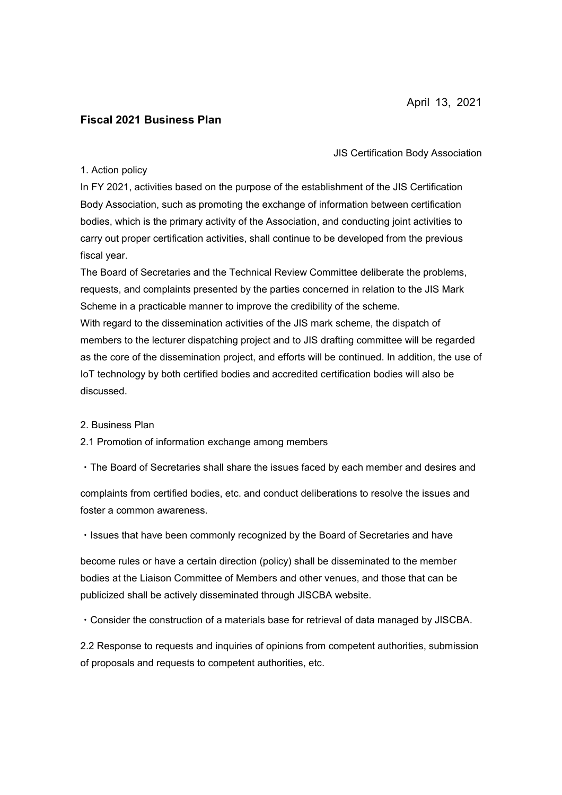# **Fiscal 2021 Business Plan**

JIS Certification Body Association

## 1. Action policy

In FY 2021, activities based on the purpose of the establishment of the JIS Certification Body Association, such as promoting the exchange of information between certification bodies, which is the primary activity of the Association, and conducting joint activities to carry out proper certification activities, shall continue to be developed from the previous fiscal year.

The Board of Secretaries and the Technical Review Committee deliberate the problems, requests, and complaints presented by the parties concerned in relation to the JIS Mark Scheme in a practicable manner to improve the credibility of the scheme. With regard to the dissemination activities of the JIS mark scheme, the dispatch of members to the lecturer dispatching project and to JIS drafting committee will be regarded as the core of the dissemination project, and efforts will be continued. In addition, the use of IoT technology by both certified bodies and accredited certification bodies will also be discussed.

#### 2. Business Plan

### 2.1 Promotion of information exchange among members

・The Board of Secretaries shall share the issues faced by each member and desires and

complaints from certified bodies, etc. and conduct deliberations to resolve the issues and foster a common awareness.

・Issues that have been commonly recognized by the Board of Secretaries and have

become rules or have a certain direction (policy) shall be disseminated to the member bodies at the Liaison Committee of Members and other venues, and those that can be publicized shall be actively disseminated through JISCBA website.

・Consider the construction of a materials base for retrieval of data managed by JISCBA.

2.2 Response to requests and inquiries of opinions from competent authorities, submission of proposals and requests to competent authorities, etc.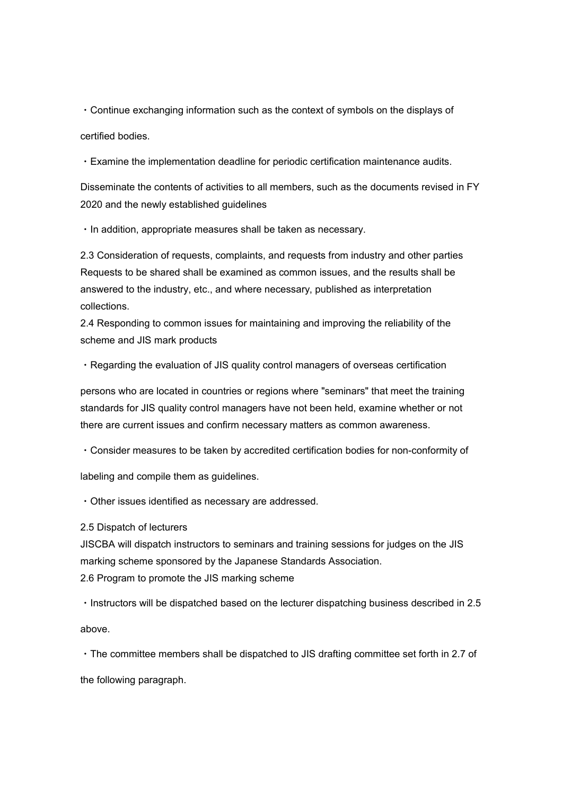・Continue exchanging information such as the context of symbols on the displays of certified bodies.

・Examine the implementation deadline for periodic certification maintenance audits.

Disseminate the contents of activities to all members, such as the documents revised in FY 2020 and the newly established guidelines

・In addition, appropriate measures shall be taken as necessary.

2.3 Consideration of requests, complaints, and requests from industry and other parties Requests to be shared shall be examined as common issues, and the results shall be answered to the industry, etc., and where necessary, published as interpretation collections.

2.4 Responding to common issues for maintaining and improving the reliability of the scheme and JIS mark products

・Regarding the evaluation of JIS quality control managers of overseas certification

persons who are located in countries or regions where "seminars" that meet the training standards for JIS quality control managers have not been held, examine whether or not there are current issues and confirm necessary matters as common awareness.

・Consider measures to be taken by accredited certification bodies for non-conformity of

labeling and compile them as guidelines.

・Other issues identified as necessary are addressed.

2.5 Dispatch of lecturers

JISCBA will dispatch instructors to seminars and training sessions for judges on the JIS marking scheme sponsored by the Japanese Standards Association. 2.6 Program to promote the JIS marking scheme

・Instructors will be dispatched based on the lecturer dispatching business described in 2.5

above.

・The committee members shall be dispatched to JIS drafting committee set forth in 2.7 of

the following paragraph.